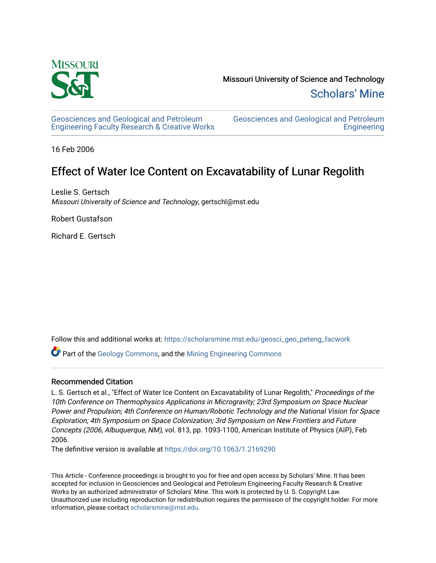

[Geosciences and Geological and Petroleum](https://scholarsmine.mst.edu/geosci_geo_peteng_facwork) [Engineering Faculty Research & Creative Works](https://scholarsmine.mst.edu/geosci_geo_peteng_facwork) [Geosciences and Geological and Petroleum](https://scholarsmine.mst.edu/geosci_geo_peteng)  **Engineering** 

16 Feb 2006

# Effect of Water Ice Content on Excavatability of Lunar Regolith

Leslie S. Gertsch Missouri University of Science and Technology, gertschl@mst.edu

Robert Gustafson

Richard E. Gertsch

Follow this and additional works at: [https://scholarsmine.mst.edu/geosci\\_geo\\_peteng\\_facwork](https://scholarsmine.mst.edu/geosci_geo_peteng_facwork?utm_source=scholarsmine.mst.edu%2Fgeosci_geo_peteng_facwork%2F2&utm_medium=PDF&utm_campaign=PDFCoverPages)

Part of the [Geology Commons](http://network.bepress.com/hgg/discipline/156?utm_source=scholarsmine.mst.edu%2Fgeosci_geo_peteng_facwork%2F2&utm_medium=PDF&utm_campaign=PDFCoverPages), and the [Mining Engineering Commons](http://network.bepress.com/hgg/discipline/1090?utm_source=scholarsmine.mst.edu%2Fgeosci_geo_peteng_facwork%2F2&utm_medium=PDF&utm_campaign=PDFCoverPages) 

## Recommended Citation

L. S. Gertsch et al., "Effect of Water Ice Content on Excavatability of Lunar Regolith," Proceedings of the 10th Conference on Thermophysics Applications in Microgravity; 23rd Symposium on Space Nuclear Power and Propulsion; 4th Conference on Human/Robotic Technology and the National Vision for Space Exploration; 4th Symposium on Space Colonization; 3rd Symposium on New Frontiers and Future Concepts (2006, Albuquerque, NM), vol. 813, pp. 1093-1100, American Institute of Physics (AIP), Feb 2006.

The definitive version is available at <https://doi.org/10.1063/1.2169290>

This Article - Conference proceedings is brought to you for free and open access by Scholars' Mine. It has been accepted for inclusion in Geosciences and Geological and Petroleum Engineering Faculty Research & Creative Works by an authorized administrator of Scholars' Mine. This work is protected by U. S. Copyright Law. Unauthorized use including reproduction for redistribution requires the permission of the copyright holder. For more information, please contact [scholarsmine@mst.edu](mailto:scholarsmine@mst.edu).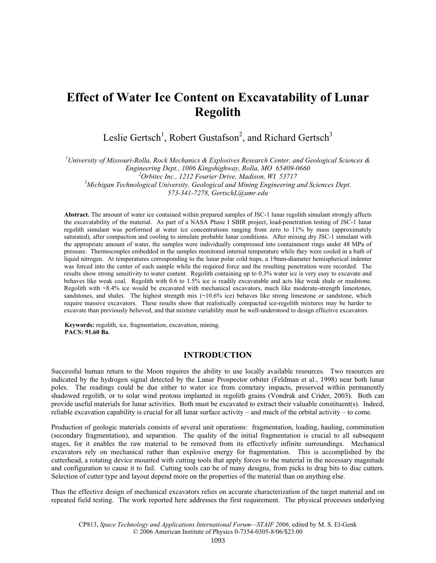# **Effect of Water Ice Content on Excavatability of Lunar Regolith**

Leslie Gertsch<sup>1</sup>, Robert Gustafson<sup>2</sup>, and Richard Gertsch<sup>3</sup>

*1 University of Missouri-Rolla, Rock Mechanics & Explosives Research Center, and Geological Sciences & Engineering Dept., 1006 Kingshighway, Rolla, MO 65409-0660 2* <sup>2</sup> Orbitec Inc., 1212 Fourier Drive, Madison, WI 53717 *Michigan Technological University, Geological and Mining Engineering and Sciences Dept. 573-341-7278, GertschL@umr.edu* 

**Abstract.** The amount of water ice contained within prepared samples of JSC-1 lunar regolith simulant strongly affects the excavatability of the material. As part of a NASA Phase I SBIR project, load-penetration testing of JSC-1 lunar regolith simulant was performed at water ice concentrations ranging from zero to 11% by mass (approximately saturated), after compaction and cooling to simulate probable lunar conditions. After mixing dry JSC-1 simulant with the appropriate amount of water, the samples were individually compressed into containment rings under 48 MPa of pressure. Thermocouples embedded in the samples monitored internal temperature while they were cooled in a bath of liquid nitrogen. At temperatures corresponding to the lunar polar cold traps, a 19mm-diameter hemispherical indenter was forced into the center of each sample while the required force and the resulting penetration were recorded. The results show strong sensitivity to water content. Regolith containing up to 0.3% water ice is very easy to excavate and behaves like weak coal. Regolith with 0.6 to 1.5% ice is readily excavatable and acts like weak shale or mudstone. Regolith with ~8.4% ice would be excavated with mechanical excavators, much like moderate-strength limestones, sandstones, and shales. The highest strength mix  $(\sim 10.6\%$  ice) behaves like strong limestone or sandstone, which require massive excavators. These results show that realistically compacted ice-regolith mixtures may be harder to excavate than previously believed, and that mixture variability must be well-understood to design effective excavators.

**Keywords:** regolith, ice, fragmentation, excavation, mining. **PACS: 91.60 Ba**.

## **INTRODUCTION**

Successful human return to the Moon requires the ability to use locally available resources. Two resources are indicated by the hydrogen signal detected by the Lunar Prospector orbiter (Feldman et al., 1998) near both lunar poles. The readings could be due either to water ice from cometary impacts, preserved within permanently shadowed regolith, or to solar wind protons implanted in regolith grains (Vondrak and Crider, 2003). Both can provide useful materials for lunar activities. Both must be excavated to extract their valuable constituent(s). Indeed, reliable excavation capability is crucial for all lunar surface activity – and much of the orbital activity – to come.

Production of geologic materials consists of several unit operations: fragmentation, loading, hauling, comminution (secondary fragmentation), and separation. The quality of the initial fragmentation is crucial to all subsequent stages, for it enables the raw material to be removed from its effectively infinite surroundings. Mechanical excavators rely on mechanical rather than explosive energy for fragmentation. This is accomplished by the cutterhead, a rotating device mounted with cutting tools that apply forces to the material in the necessary magnitude and configuration to cause it to fail. Cutting tools can be of many designs, from picks to drag bits to disc cutters. Selection of cutter type and layout depend more on the properties of the material than on anything else.

Thus the effective design of mechanical excavators relies on accurate characterization of the target material and on repeated field testing. The work reported here addresses the first requirement. The physical processes underlying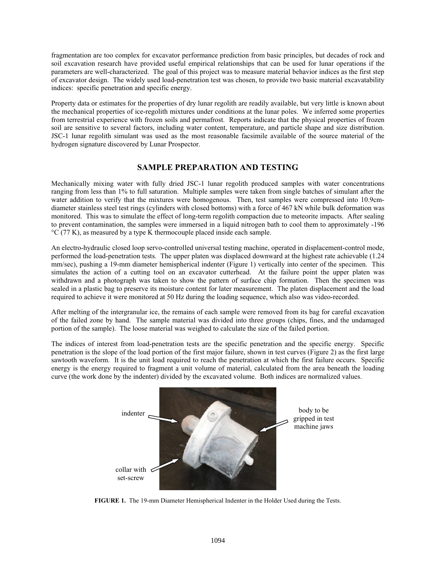fragmentation are too complex for excavator performance prediction from basic principles, but decades of rock and soil excavation research have provided useful empirical relationships that can be used for lunar operations if the parameters are well-characterized. The goal of this project was to measure material behavior indices as the first step of excavator design. The widely used load-penetration test was chosen, to provide two basic material excavatability indices: specific penetration and specific energy.

Property data or estimates for the properties of dry lunar regolith are readily available, but very little is known about the mechanical properties of ice-regolith mixtures under conditions at the lunar poles. We inferred some properties from terrestrial experience with frozen soils and permafrost. Reports indicate that the physical properties of frozen soil are sensitive to several factors, including water content, temperature, and particle shape and size distribution. JSC-1 lunar regolith simulant was used as the most reasonable facsimile available of the source material of the hydrogen signature discovered by Lunar Prospector.

# **SAMPLE PREPARATION AND TESTING**

Mechanically mixing water with fully dried JSC-1 lunar regolith produced samples with water concentrations ranging from less than 1% to full saturation. Multiple samples were taken from single batches of simulant after the water addition to verify that the mixtures were homogenous. Then, test samples were compressed into 10.9cmdiameter stainless steel test rings (cylinders with closed bottoms) with a force of 467 kN while bulk deformation was monitored. This was to simulate the effect of long-term regolith compaction due to meteorite impacts. After sealing to prevent contamination, the samples were immersed in a liquid nitrogen bath to cool them to approximately -196 °C (77 K), as measured by a type K thermocouple placed inside each sample.

An electro-hydraulic closed loop servo-controlled universal testing machine, operated in displacement-control mode, performed the load-penetration tests. The upper platen was displaced downward at the highest rate achievable (1.24 mm/sec), pushing a 19-mm diameter hemispherical indenter (Figure 1) vertically into center of the specimen. This simulates the action of a cutting tool on an excavator cutterhead. At the failure point the upper platen was withdrawn and a photograph was taken to show the pattern of surface chip formation. Then the specimen was sealed in a plastic bag to preserve its moisture content for later measurement. The platen displacement and the load required to achieve it were monitored at 50 Hz during the loading sequence, which also was video-recorded.

After melting of the intergranular ice, the remains of each sample were removed from its bag for careful excavation of the failed zone by hand. The sample material was divided into three groups (chips, fines, and the undamaged portion of the sample). The loose material was weighed to calculate the size of the failed portion.

The indices of interest from load-penetration tests are the specific penetration and the specific energy. Specific penetration is the slope of the load portion of the first major failure, shown in test curves (Figure 2) as the first large sawtooth waveform. It is the unit load required to reach the penetration at which the first failure occurs. Specific energy is the energy required to fragment a unit volume of material, calculated from the area beneath the loading curve (the work done by the indenter) divided by the excavated volume. Both indices are normalized values.



**FIGURE 1.** The 19-mm Diameter Hemispherical Indenter in the Holder Used during the Tests.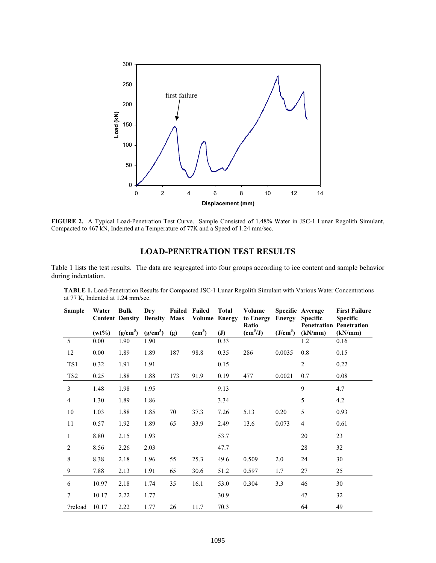

**FIGURE 2.** A Typical Load-Penetration Test Curve. Sample Consisted of 1.48% Water in JSC-1 Lunar Regolith Simulant, Compacted to 467 kN, Indented at a Temperature of 77K and a Speed of 1.24 mm/sec.

# **LOAD-PENETRATION TEST RESULTS**

Table 1 lists the test results. The data are segregated into four groups according to ice content and sample behavior during indentation.

| <b>Sample</b>   | Water    | <b>Bulk</b><br><b>Content Density</b> | Dry<br>Density Mass  | Failed | Failed             | <b>Total</b><br><b>Volume Energy</b> | Volume<br>to Energy<br>Ratio | <b>Energy</b>        | Specific Average<br><b>Specific</b> | <b>First Failure</b><br><b>Specific</b><br><b>Penetration Penetration</b> |
|-----------------|----------|---------------------------------------|----------------------|--------|--------------------|--------------------------------------|------------------------------|----------------------|-------------------------------------|---------------------------------------------------------------------------|
|                 | $(wt\%)$ | (g/cm <sup>3</sup> )                  | (g/cm <sup>3</sup> ) | (g)    | (cm <sup>3</sup> ) | $\mathbf{J}$                         | $(cm^3/J)$                   | (J/cm <sup>3</sup> ) | (kN/mm)                             | (kN/mm)                                                                   |
| 5               | 0.00     | 1.90                                  | 1.90                 |        |                    | 0.33                                 |                              |                      | 1.2                                 | 0.16                                                                      |
| 12              | 0.00     | 1.89                                  | 1.89                 | 187    | 98.8               | 0.35                                 | 286                          | 0.0035               | 0.8                                 | 0.15                                                                      |
| TS1             | 0.32     | 1.91                                  | 1.91                 |        |                    | 0.15                                 |                              |                      | $\overline{2}$                      | 0.22                                                                      |
| TS <sub>2</sub> | 0.25     | 1.88                                  | 1.88                 | 173    | 91.9               | 0.19                                 | 477                          | 0.0021               | 0.7                                 | 0.08                                                                      |
| 3               | 1.48     | 1.98                                  | 1.95                 |        |                    | 9.13                                 |                              |                      | 9                                   | 4.7                                                                       |
| $\overline{4}$  | 1.30     | 1.89                                  | 1.86                 |        |                    | 3.34                                 |                              |                      | 5                                   | 4.2                                                                       |
| 10              | 1.03     | 1.88                                  | 1.85                 | 70     | 37.3               | 7.26                                 | 5.13                         | 0.20                 | 5                                   | 0.93                                                                      |
| 11              | 0.57     | 1.92                                  | 1.89                 | 65     | 33.9               | 2.49                                 | 13.6                         | 0.073                | $\overline{4}$                      | 0.61                                                                      |
| $\mathbf{1}$    | 8.80     | 2.15                                  | 1.93                 |        |                    | 53.7                                 |                              |                      | 20                                  | 23                                                                        |
| 2               | 8.56     | 2.26                                  | 2.03                 |        |                    | 47.7                                 |                              |                      | 28                                  | 32                                                                        |
| $\,8\,$         | 8.38     | 2.18                                  | 1.96                 | 55     | 25.3               | 49.6                                 | 0.509                        | 2.0                  | 24                                  | 30                                                                        |
| 9               | 7.88     | 2.13                                  | 1.91                 | 65     | 30.6               | 51.2                                 | 0.597                        | 1.7                  | 27                                  | 25                                                                        |
| 6               | 10.97    | 2.18                                  | 1.74                 | 35     | 16.1               | 53.0                                 | 0.304                        | 3.3                  | 46                                  | 30                                                                        |
| 7               | 10.17    | 2.22                                  | 1.77                 |        |                    | 30.9                                 |                              |                      | 47                                  | 32                                                                        |
| 7reload         | 10.17    | 2.22                                  | 1.77                 | 26     | 11.7               | 70.3                                 |                              |                      | 64                                  | 49                                                                        |

**TABLE 1.** Load-Penetration Results for Compacted JSC-1 Lunar Regolith Simulant with Various Water Concentrations at 77 K, Indented at 1.24 mm/sec.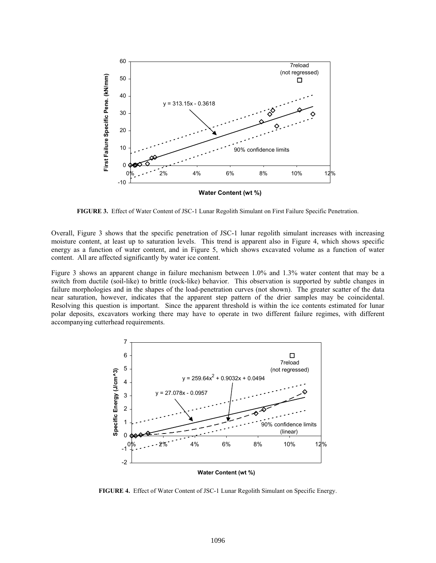

**FIGURE 3.** Effect of Water Content of JSC-1 Lunar Regolith Simulant on First Failure Specific Penetration.

Overall, Figure 3 shows that the specific penetration of JSC-1 lunar regolith simulant increases with increasing moisture content, at least up to saturation levels. This trend is apparent also in Figure 4, which shows specific energy as a function of water content, and in Figure 5, which shows excavated volume as a function of water content. All are affected significantly by water ice content.

Figure 3 shows an apparent change in failure mechanism between 1.0% and 1.3% water content that may be a switch from ductile (soil-like) to brittle (rock-like) behavior. This observation is supported by subtle changes in failure morphologies and in the shapes of the load-penetration curves (not shown). The greater scatter of the data near saturation, however, indicates that the apparent step pattern of the drier samples may be coincidental. Resolving this question is important. Since the apparent threshold is within the ice contents estimated for lunar polar deposits, excavators working there may have to operate in two different failure regimes, with different accompanying cutterhead requirements.



**FIGURE 4.** Effect of Water Content of JSC-1 Lunar Regolith Simulant on Specific Energy.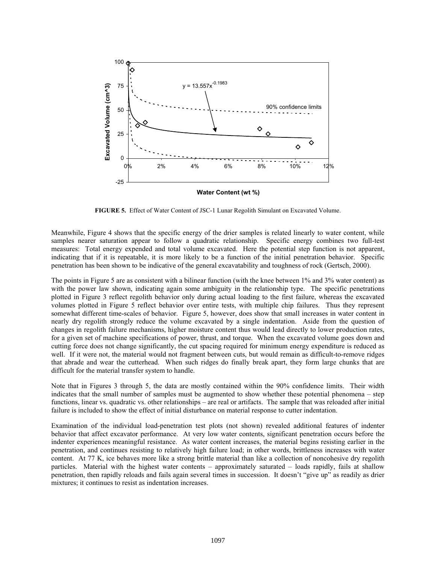

**FIGURE 5.** Effect of Water Content of JSC-1 Lunar Regolith Simulant on Excavated Volume.

Meanwhile, Figure 4 shows that the specific energy of the drier samples is related linearly to water content, while samples nearer saturation appear to follow a quadratic relationship. Specific energy combines two full-test measures: Total energy expended and total volume excavated. Here the potential step function is not apparent, indicating that if it is repeatable, it is more likely to be a function of the initial penetration behavior. Specific penetration has been shown to be indicative of the general excavatability and toughness of rock (Gertsch, 2000).

The points in Figure 5 are as consistent with a bilinear function (with the knee between 1% and 3% water content) as with the power law shown, indicating again some ambiguity in the relationship type. The specific penetrations plotted in Figure 3 reflect regolith behavior only during actual loading to the first failure, whereas the excavated volumes plotted in Figure 5 reflect behavior over entire tests, with multiple chip failures. Thus they represent somewhat different time-scales of behavior. Figure 5, however, does show that small increases in water content in nearly dry regolith strongly reduce the volume excavated by a single indentation. Aside from the question of changes in regolith failure mechanisms, higher moisture content thus would lead directly to lower production rates, for a given set of machine specifications of power, thrust, and torque. When the excavated volume goes down and cutting force does not change significantly, the cut spacing required for minimum energy expenditure is reduced as well. If it were not, the material would not fragment between cuts, but would remain as difficult-to-remove ridges that abrade and wear the cutterhead. When such ridges do finally break apart, they form large chunks that are difficult for the material transfer system to handle.

Note that in Figures 3 through 5, the data are mostly contained within the 90% confidence limits. Their width indicates that the small number of samples must be augmented to show whether these potential phenomena – step functions, linear vs. quadratic vs. other relationships – are real or artifacts. The sample that was reloaded after initial failure is included to show the effect of initial disturbance on material response to cutter indentation.

Examination of the individual load-penetration test plots (not shown) revealed additional features of indenter behavior that affect excavator performance. At very low water contents, significant penetration occurs before the indenter experiences meaningful resistance. As water content increases, the material begins resisting earlier in the penetration, and continues resisting to relatively high failure load; in other words, brittleness increases with water content. At 77 K, ice behaves more like a strong brittle material than like a collection of noncohesive dry regolith particles. Material with the highest water contents – approximately saturated – loads rapidly, fails at shallow penetration, then rapidly reloads and fails again several times in succession. It doesn't "give up" as readily as drier mixtures; it continues to resist as indentation increases.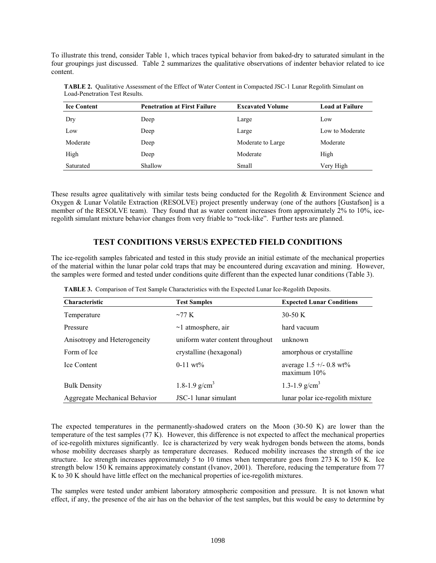To illustrate this trend, consider Table 1, which traces typical behavior from baked-dry to saturated simulant in the four groupings just discussed. Table 2 summarizes the qualitative observations of indenter behavior related to ice content.

| <b>Ice Content</b> | <b>Penetration at First Failure</b> | <b>Excavated Volume</b> | <b>Load at Failure</b> |
|--------------------|-------------------------------------|-------------------------|------------------------|
| Dry                | Deep                                | Large                   | Low                    |
| Low                | Deep                                | Large                   | Low to Moderate        |
| Moderate           | Deep                                | Moderate to Large       | Moderate               |
| High               | Deep                                | Moderate                | High                   |
| Saturated          | Shallow                             | Small                   | Very High              |

**TABLE 2.** Qualitative Assessment of the Effect of Water Content in Compacted JSC-1 Lunar Regolith Simulant on Load-Penetration Test Results.

These results agree qualitatively with similar tests being conducted for the Regolith & Environment Science and Oxygen & Lunar Volatile Extraction (RESOLVE) project presently underway (one of the authors [Gustafson] is a member of the RESOLVE team). They found that as water content increases from approximately 2% to 10%, iceregolith simulant mixture behavior changes from very friable to "rock-like". Further tests are planned.

# **TEST CONDITIONS VERSUS EXPECTED FIELD CONDITIONS**

The ice-regolith samples fabricated and tested in this study provide an initial estimate of the mechanical properties of the material within the lunar polar cold traps that may be encountered during excavation and mining. However, the samples were formed and tested under conditions quite different than the expected lunar conditions (Table 3).

| Characteristic                | <b>Test Samples</b>              | <b>Expected Lunar Conditions</b>        |
|-------------------------------|----------------------------------|-----------------------------------------|
| Temperature                   | $\sim$ 77 K                      | $30-50K$                                |
| Pressure                      | $\sim$ 1 atmosphere, air         | hard vacuum                             |
| Anisotropy and Heterogeneity  | uniform water content throughout | unknown                                 |
| Form of Ice                   | crystalline (hexagonal)          | amorphous or crystalline                |
| <b>Ice Content</b>            | $0-11$ wt <sup>o</sup>           | average $1.5 + -0.8$ wt%<br>maximum 10% |
| <b>Bulk Density</b>           | 1.8-1.9 $g/cm^3$                 | 1.3-1.9 $g/cm^3$                        |
| Aggregate Mechanical Behavior | JSC-1 lunar simulant             | lunar polar ice-regolith mixture        |

**TABLE 3.** Comparison of Test Sample Characteristics with the Expected Lunar Ice-Regolith Deposits.

The expected temperatures in the permanently-shadowed craters on the Moon (30-50 K) are lower than the temperature of the test samples (77 K). However, this difference is not expected to affect the mechanical properties of ice-regolith mixtures significantly. Ice is characterized by very weak hydrogen bonds between the atoms, bonds whose mobility decreases sharply as temperature decreases. Reduced mobility increases the strength of the ice structure. Ice strength increases approximately 5 to 10 times when temperature goes from 273 K to 150 K. Ice strength below 150 K remains approximately constant (Ivanov, 2001). Therefore, reducing the temperature from 77 K to 30 K should have little effect on the mechanical properties of ice-regolith mixtures.

The samples were tested under ambient laboratory atmospheric composition and pressure. It is not known what effect, if any, the presence of the air has on the behavior of the test samples, but this would be easy to determine by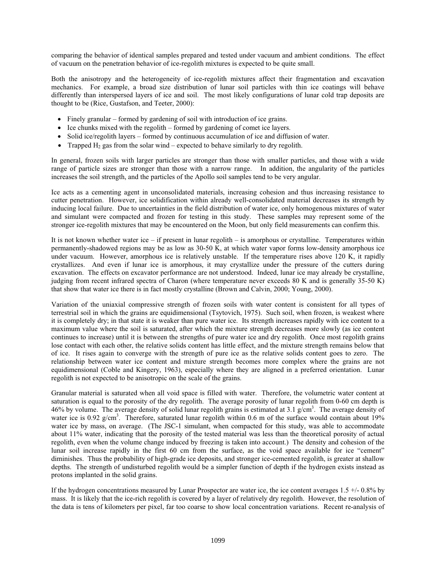comparing the behavior of identical samples prepared and tested under vacuum and ambient conditions. The effect of vacuum on the penetration behavior of ice-regolith mixtures is expected to be quite small.

Both the anisotropy and the heterogeneity of ice-regolith mixtures affect their fragmentation and excavation mechanics. For example, a broad size distribution of lunar soil particles with thin ice coatings will behave differently than interspersed layers of ice and soil. The most likely configurations of lunar cold trap deposits are thought to be (Rice, Gustafson, and Teeter, 2000):

- $\bullet$  Finely granular formed by gardening of soil with introduction of ice grains.
- $\bullet$  Ice chunks mixed with the regolith formed by gardening of comet ice layers.
- $\bullet$  Solid ice/regolith layers formed by continuous accumulation of ice and diffusion of water.
- Trapped  $H_2$  gas from the solar wind expected to behave similarly to dry regolith.

In general, frozen soils with larger particles are stronger than those with smaller particles, and those with a wide range of particle sizes are stronger than those with a narrow range. In addition, the angularity of the particles increases the soil strength, and the particles of the Apollo soil samples tend to be very angular.

Ice acts as a cementing agent in unconsolidated materials, increasing cohesion and thus increasing resistance to cutter penetration. However, ice solidification within already well-consolidated material decreases its strength by inducing local failure. Due to uncertainties in the field distribution of water ice, only homogenous mixtures of water and simulant were compacted and frozen for testing in this study. These samples may represent some of the stronger ice-regolith mixtures that may be encountered on the Moon, but only field measurements can confirm this.

It is not known whether water ice – if present in lunar regolith – is amorphous or crystalline. Temperatures within permanently-shadowed regions may be as low as 30-50 K, at which water vapor forms low-density amorphous ice under vacuum. However, amorphous ice is relatively unstable. If the temperature rises above 120 K, it rapidly crystallizes. And even if lunar ice is amorphous, it may crystallize under the pressure of the cutters during excavation. The effects on excavator performance are not understood. Indeed, lunar ice may already be crystalline, judging from recent infrared spectra of Charon (where temperature never exceeds 80 K and is generally 35-50 K) that show that water ice there is in fact mostly crystalline (Brown and Calvin, 2000; Young, 2000).

Variation of the uniaxial compressive strength of frozen soils with water content is consistent for all types of terrestrial soil in which the grains are equidimensional (Tsytovich, 1975). Such soil, when frozen, is weakest where it is completely dry; in that state it is weaker than pure water ice. Its strength increases rapidly with ice content to a maximum value where the soil is saturated, after which the mixture strength decreases more slowly (as ice content continues to increase) until it is between the strengths of pure water ice and dry regolith. Once most regolith grains lose contact with each other, the relative solids content has little effect, and the mixture strength remains below that of ice. It rises again to converge with the strength of pure ice as the relative solids content goes to zero. The relationship between water ice content and mixture strength becomes more complex where the grains are not equidimensional (Coble and Kingery, 1963), especially where they are aligned in a preferred orientation. Lunar regolith is not expected to be anisotropic on the scale of the grains.

Granular material is saturated when all void space is filled with water. Therefore, the volumetric water content at saturation is equal to the porosity of the dry regolith. The average porosity of lunar regolith from 0-60 cm depth is 46% by volume. The average density of solid lunar regolith grains is estimated at 3.1  $g/cm<sup>3</sup>$ . The average density of water ice is 0.92  $g/cm<sup>3</sup>$ . Therefore, saturated lunar regolith within 0.6 m of the surface would contain about 19% water ice by mass, on average. (The JSC-1 simulant, when compacted for this study, was able to accommodate about 11% water, indicating that the porosity of the tested material was less than the theoretical porosity of actual regolith, even when the volume change induced by freezing is taken into account.) The density and cohesion of the lunar soil increase rapidly in the first 60 cm from the surface, as the void space available for ice "cement" diminishes. Thus the probability of high-grade ice deposits, and stronger ice-cemented regolith, is greater at shallow depths. The strength of undisturbed regolith would be a simpler function of depth if the hydrogen exists instead as protons implanted in the solid grains.

If the hydrogen concentrations measured by Lunar Prospector are water ice, the ice content averages 1.5 +/- 0.8% by mass. It is likely that the ice-rich regolith is covered by a layer of relatively dry regolith. However, the resolution of the data is tens of kilometers per pixel, far too coarse to show local concentration variations. Recent re-analysis of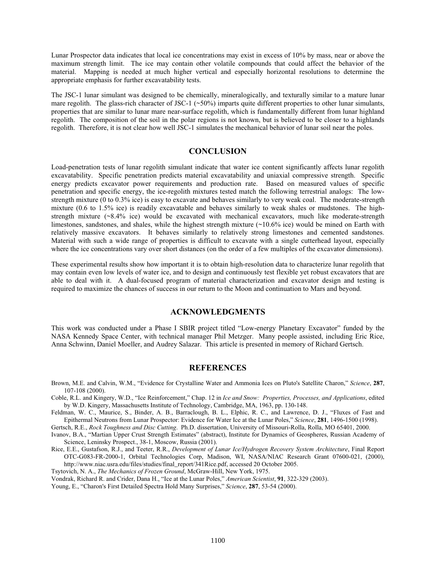Lunar Prospector data indicates that local ice concentrations may exist in excess of 10% by mass, near or above the maximum strength limit. The ice may contain other volatile compounds that could affect the behavior of the material. Mapping is needed at much higher vertical and especially horizontal resolutions to determine the appropriate emphasis for further excavatability tests.

The JSC-1 lunar simulant was designed to be chemically, mineralogically, and texturally similar to a mature lunar mare regolith. The glass-rich character of JSC-1 ( $\sim$ 50%) imparts quite different properties to other lunar simulants, properties that are similar to lunar mare near-surface regolith, which is fundamentally different from lunar highland regolith. The composition of the soil in the polar regions is not known, but is believed to be closer to a highlands regolith. Therefore, it is not clear how well JSC-1 simulates the mechanical behavior of lunar soil near the poles.

#### **CONCLUSION**

Load-penetration tests of lunar regolith simulant indicate that water ice content significantly affects lunar regolith excavatability. Specific penetration predicts material excavatability and uniaxial compressive strength. Specific energy predicts excavator power requirements and production rate. Based on measured values of specific penetration and specific energy, the ice-regolith mixtures tested match the following terrestrial analogs: The lowstrength mixture (0 to 0.3% ice) is easy to excavate and behaves similarly to very weak coal. The moderate-strength mixture (0.6 to 1.5% ice) is readily excavatable and behaves similarly to weak shales or mudstones. The highstrength mixture (~8.4% ice) would be excavated with mechanical excavators, much like moderate-strength limestones, sandstones, and shales, while the highest strength mixture (~10.6% ice) would be mined on Earth with relatively massive excavators. It behaves similarly to relatively strong limestones and cemented sandstones. Material with such a wide range of properties is difficult to excavate with a single cutterhead layout, especially where the ice concentrations vary over short distances (on the order of a few multiples of the excavator dimensions).

These experimental results show how important it is to obtain high-resolution data to characterize lunar regolith that may contain even low levels of water ice, and to design and continuously test flexible yet robust excavators that are able to deal with it. A dual-focused program of material characterization and excavator design and testing is required to maximize the chances of success in our return to the Moon and continuation to Mars and beyond.

### **ACKNOWLEDGMENTS**

This work was conducted under a Phase I SBIR project titled "Low-energy Planetary Excavator" funded by the NASA Kennedy Space Center, with technical manager Phil Metzger. Many people assisted, including Eric Rice, Anna Schwinn, Daniel Moeller, and Audrey Salazar. This article is presented in memory of Richard Gertsch.

### **REFERENCES**

Brown, M.E. and Calvin, W.M., "Evidence for Crystalline Water and Ammonia Ices on Pluto's Satellite Charon," *Science*, **287**, 107-108 (2000).

Coble, R.L. and Kingery, W.D., "Ice Reinforcement," Chap. 12 in *Ice and Snow: Properties, Processes, and Applications*, edited by W.D. Kingery, Massachusetts Institute of Technology, Cambridge, MA, 1963, pp. 130-148.

Feldman, W. C., Maurice, S., Binder, A. B., Barraclough, B. L., Elphic, R. C., and Lawrence, D. J., "Fluxes of Fast and Epithermal Neutrons from Lunar Prospector: Evidence for Water Ice at the Lunar Poles," *Science*, **281**, 1496-1500 (1998).

Gertsch, R.E., *Rock Toughness and Disc Cutting*. Ph.D. dissertation, University of Missouri-Rolla, Rolla, MO 65401, 2000.

- Ivanov, B.A., "Martian Upper Crust Strength Estimates" (abstract), Institute for Dynamics of Geospheres, Russian Academy of Science, Leninsky Prospect., 38-1, Moscow, Russia (2001).
- Rice, E.E., Gustafson, R.J., and Teeter, R.R., *Development of Lunar Ice/Hydrogen Recovery System Architecture*, Final Report OTC-G083-FR-2000-1, Orbital Technologies Corp, Madison, WI, NASA/NIAC Research Grant 07600-021, (2000), http://www.niac.usra.edu/files/studies/final\_report/341Rice.pdf, accessed 20 October 2005.

Tsytovich, N. A., *The Mechanics of Frozen Ground*, McGraw-Hill, New York, 1975.

Vondrak, Richard R. and Crider, Dana H., "Ice at the Lunar Poles," *American Scientist*, **91**, 322-329 (2003).

Young, E., "Charon's First Detailed Spectra Hold Many Surprises," *Science*, **287**, 53-54 (2000).